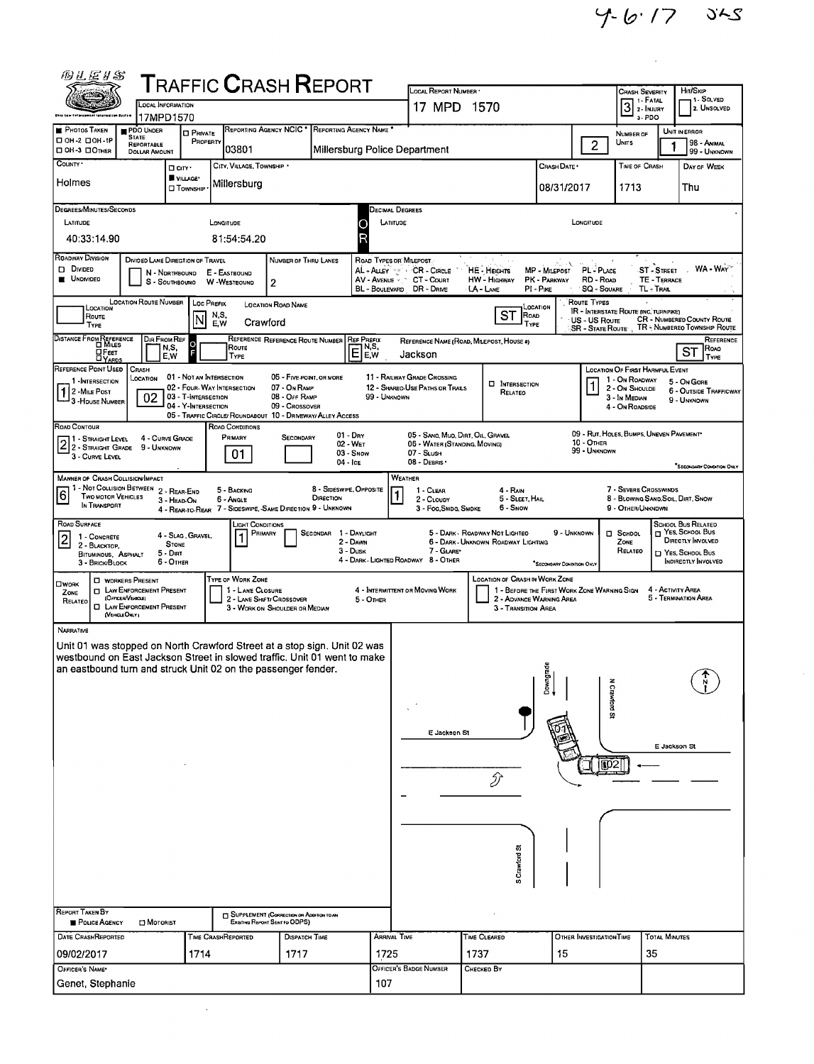Ŷ,

| <b>ALEIS</b>                                                                                                                                                                                                                                                                                        |                                                                              |                                                                        |                                                                    | <b>TRAFFIC CRASH REPORT</b>                                                                                                                |                                                                 | LOCAL REPORT NUMBER .                                                                          |                                                                       |                                                                         |                                                                      |                                                                                                         | Hir/SkiP                                                                                                                    |
|-----------------------------------------------------------------------------------------------------------------------------------------------------------------------------------------------------------------------------------------------------------------------------------------------------|------------------------------------------------------------------------------|------------------------------------------------------------------------|--------------------------------------------------------------------|--------------------------------------------------------------------------------------------------------------------------------------------|-----------------------------------------------------------------|------------------------------------------------------------------------------------------------|-----------------------------------------------------------------------|-------------------------------------------------------------------------|----------------------------------------------------------------------|---------------------------------------------------------------------------------------------------------|-----------------------------------------------------------------------------------------------------------------------------|
|                                                                                                                                                                                                                                                                                                     | LOCAL INFORMATION                                                            |                                                                        |                                                                    |                                                                                                                                            |                                                                 | 17 MPD 1570                                                                                    |                                                                       |                                                                         |                                                                      | <b>CRASH SEVERITY</b><br>1 - FATAL<br>$3$ $\frac{1}{2}$ - INJURY                                        | 1- SOLVED<br>2. UNSOLVED                                                                                                    |
| <b>PHOTOS TAKEN</b><br>□ 0H-2 □ 0H-1P<br><b>DOH-3 DOTHER</b>                                                                                                                                                                                                                                        | 17MPD1570<br>PDO UNDER<br><b>STATE</b><br>REPORTABLE<br><b>DOLLAR AMOUNT</b> | <b>O</b> PRIVATE<br>PROPERTY                                           | 103801                                                             | REPORTING AGENCY NCIC *                                                                                                                    | REPORTING AGENCY NAME<br>Millersburg Police Department          |                                                                                                |                                                                       |                                                                         | $\overline{2}$                                                       | 3. PDO<br>NUMBER OF<br>UNITS                                                                            | UNIT IN ERROR<br>98 - Animal<br>99 - UNKNOWN                                                                                |
| COUNTY *<br>Holmes                                                                                                                                                                                                                                                                                  |                                                                              | □ cirv ·<br>VILLAGE*<br><b>D</b> TOWNSHIP                              | CITY, VILLAGE, TOWNSHIP .<br>Millersburg                           |                                                                                                                                            |                                                                 |                                                                                                |                                                                       | CRASH DATE .<br>08/31/2017                                              |                                                                      | TIME OF CRASH<br>1713                                                                                   | DAY OF WEEK<br>Thu                                                                                                          |
| DEGREES/MINUTES/SECONDS                                                                                                                                                                                                                                                                             |                                                                              |                                                                        |                                                                    |                                                                                                                                            | Decimal Degrees                                                 |                                                                                                |                                                                       |                                                                         |                                                                      |                                                                                                         |                                                                                                                             |
| LATITUDE<br>40:33:14.90                                                                                                                                                                                                                                                                             |                                                                              |                                                                        | LONGITUDE<br>81:54:54.20                                           |                                                                                                                                            | LATITUDE<br>C<br>R                                              |                                                                                                |                                                                       |                                                                         | LONGITUDE                                                            |                                                                                                         |                                                                                                                             |
| ROADWAY DIVISION<br>D DIVIDED<br>UNDIVIDED                                                                                                                                                                                                                                                          | DIVIDED LANE DIREGTION OF TRAVEL<br>N - Northbound<br>S - SOUTHBOUND         |                                                                        | E - EASTBOUND<br>W -WESTBOUND                                      | NUMBER OF THRU LANES<br>2                                                                                                                  | ROAD TYPES OR MILEPOST.<br>AV - AVENUE                          | AL - ALLEY 1999 CR - CIRCLE<br>CT - Count<br>BL - BOULEVARD DR - DRIVE                         | <b>HE - HEIGHTS</b><br><b>HW - HIGHWAY</b><br>LA - LANE               | ۰Ł<br>MP - MILEPOST<br>PK - PARKWAY<br>PI-PIKE                          | PL-PLACE<br>RD - Row<br><b>SQ - SOUARE</b>                           | <b>ST-STREET</b><br>TE - TERRACE<br>TL - TRAL                                                           | WA - WAY                                                                                                                    |
| LOCATION<br>Route<br>Type                                                                                                                                                                                                                                                                           | <b>LOCATION ROUTE NUMBER</b>                                                 | LOC PREFIX<br>ΙN                                                       | N,S,<br>Crawford<br>E W                                            | <b>LOCATION ROAD NAME</b>                                                                                                                  |                                                                 |                                                                                                | <b>ST</b><br><b>ROAD</b><br>TYPE                                      | LOCATION                                                                | Route Types<br>US - US Route<br><b>SR - State Route</b>              | <b>IR - INTERSTATE ROUTE (INC. TURNPIKE)</b>                                                            | CR - NUMBERED COUNTY ROUTE<br>TR - NUMBEREO TOWNSHIP ROUTE                                                                  |
| DISTANCE FROM REFERENCE<br>□Fεετ<br><b>DYARDS</b>                                                                                                                                                                                                                                                   | DIR FROM REF<br>N,S,<br>E.W                                                  | $\circ$                                                                | ROUTE<br>TYPE                                                      | REFERENCE REFERENCE ROUTE NUMBER                                                                                                           | REF PREFIX<br>N,S,<br>Ē<br>IE.W                                 | Jackson                                                                                        | REFERENCE NAME (ROAD, MILEPOST, HOUSE #)                              |                                                                         |                                                                      |                                                                                                         | REFERENCE<br>Roao<br><b>ST</b><br>TYPE                                                                                      |
| REFERENCE POINT USED<br>1 - INTERSECTION<br>2 - MILE POST<br><sup>1</sup> 3 - House Number                                                                                                                                                                                                          | CRASH<br>LOCATION<br>02                                                      | 01 - NOT AN INTERSECTION<br>03 - T-INTERSECTION<br>04 - Y-Intersection | 02 - FOUR- WAY INTERSECTION                                        | 05 - FIVE POINT, OR MORE<br>07 - On RAMP<br>08 - Off RAMP<br>09 - Crossover<br>05 - TRAFFIC CIRCLE/ ROUNDABOUT 10 - DRIVEWAY/ ALLEY ACCESS | 99 - UNKNOWN                                                    | 11 - RAILWAY GRADE CROSSING<br>12 - SHAREO-USE PATHS OR TRAILS                                 | <b>D</b> INTERSECTION<br>RELATEO                                      |                                                                         |                                                                      | LOCATION OF FIRST HARMFUL EVENT<br>1 - On Roadway<br>2 - On Shoulde<br>3 - In Median<br>4 - On ROADSIDE | 5 - On GORE<br><b>6 - OUTSIDE TRAFFICWAY</b><br>9 - UNKNOWN                                                                 |
| ROAD CONTOUR<br>1 - Straight Level<br>2 3 STRAIGHT GRADE<br>3 - Curve Level                                                                                                                                                                                                                         | 4 - CURVE GRADE<br>9 - UNKNOWN                                               |                                                                        | ROAD CONDITIONS<br>PRIMARY<br>01                                   | <b>SECONDARY</b>                                                                                                                           | $01 - \text{Dry}$<br>02 - WET<br>$03 -$ Snow<br>$04 -$ Ice      | 05 - SANO, MUD, DIRT, OIL, GRAVEL<br>05 - WATER (STANONG, MOVING)<br>07 - SLush<br>08 - DEBRIS |                                                                       |                                                                         | <b>10 - OTHER</b><br>99 - UNKNOWN                                    | 09 - RUT, HOLES, BUMPS, UNEVEN PAVEMENT*                                                                | "SECONDARY CONDITION ONLY                                                                                                   |
| MANNER OF CRASH COLLISION/IMPACT<br>1 - Not Collision Between 2 - Rear-End<br>$\boxed{6}$<br><b>TWO MOTOR VEHICLES</b><br>In TRANSPORT                                                                                                                                                              |                                                                              | 3 - HEAD ON<br>4 - Rear to Rear                                        | 5 - BACKING<br>6 - Angle                                           | DIRECTION<br>7 - SIDESWIPE, SAME DIRECTION 9 - UNKNOWN                                                                                     | 8 - SIDESWIPE, OPPOSITE<br>1                                    | <b>WEATHER</b><br>1 CLEAR<br>2 - CLOUDY<br>3 - Fog, SMDG, SMDKE                                | 4 - RAIN<br>5 - SLEET HAIL<br>6 - Snow                                |                                                                         |                                                                      | 7 - SEVERE CROSSWINDS<br>8 - BLOWING SAND SOIL, DIRT, SNOW<br>9 - OTHER/UNKNOWN                         |                                                                                                                             |
| ROAD SURFACE<br>1 - CONCRETE<br>$\overline{2}$<br>2 - BLACKTOP.<br>BITUMINOUS, ASPHALT<br>3 - BRICK BLOCK                                                                                                                                                                                           | 5 - Diri<br>6 - OTHER                                                        | 4 - Slag, Gravel,<br><b>STONE</b>                                      | LIGHT CONDITIONS<br>PRIMARY                                        | SECONDAR 1 - DAYLIGHT                                                                                                                      | 2 - DAWN<br>$3 - D$ usk<br>4 - DARK - LIGHTED ROADWAY 8 - OTHER | 7 - GLARE*                                                                                     | 5 - DARK - ROADWAY NOT LIGHTEO<br>6 - DARK - UNKNOWN ROADWAY LIGHTING | 9 - UNKNOWN<br>"SECONDARY CONDITION ONLY                                |                                                                      | <b>D</b> SCHDOL<br>Zone<br>RELATEO                                                                      | <b>SCHOOL BUS RELATED</b><br>T YES, SCHOOL BUS<br>DIRECTLY INVOLVED<br>$\Box$ Yes, School Bus<br><b>INDIRECTLY INVOLVED</b> |
| <b>C WORKERS PRESENT</b><br><b>OWORK</b><br>ZONE<br>(Officer/Vencle)<br>RELATED<br>(VEHOLEONLY)                                                                                                                                                                                                     | <b>D</b> LAW ENFORCEMENT PRESENT<br><b>C LAW ENFORCEMENT PRESENT</b>         |                                                                        | TYPE OF WORK ZONE<br>1 - LANE CLOSURE<br>2 - LANE SHIFT/ CROSSOVER | 3 - WORK ON SHOULDER OR MEDIAN                                                                                                             | 5 - Omen                                                        | 4 - INTERMITTENT OR MOVING WORK                                                                | LOCATION OF CRASH IN WORK ZONE<br>3 - TRANSITION AREA                 | 1 - BEFORE THE FIRST WORK ZONE WARNING SIGN<br>2 - ADVANCE WARNING AREA |                                                                      | 4 - ACTIVITY AREA                                                                                       | 5 - TERMINATION AREA                                                                                                        |
| NARRATIVE<br>Unit 01 was stopped on North Crawford Street at a stop sign. Unit 02 was<br>westbound on East Jackson Street in slowed traffic. Unit 01 went to make<br>an eastbound turn and struck Unit 02 on the passenger fender.<br><b>REPORT TAKEN BY</b><br>POLICE AGENCY<br>DATE CRASHREPORTED | MOTORIST                                                                     |                                                                        | TIME CRASHREPORTED                                                 | SUPPLEMENT (CORRECTION OR ADDITION TO AN<br><b>EXISTING REPORT SENT TO ODPS)</b><br>DISPATCH TIME                                          | Arrival Time                                                    | E Jackson St                                                                                   | D<br>S Crawtord St<br>TIME CLEARED                                    | Downgrade                                                               | <b>N Crawford St</b><br>$\overline{102}$<br>OTHER INVESTIGATION TIME | <b>TOTAL MINUTES</b>                                                                                    | E Jackson St                                                                                                                |
| 09/02/2017<br>OFFICER'S NAME*                                                                                                                                                                                                                                                                       |                                                                              | 1714                                                                   |                                                                    | 1717                                                                                                                                       | 1725                                                            | OFFICER'S BADGE NUMBER                                                                         | 1737<br>CHECKED BY                                                    | 15                                                                      |                                                                      | 35                                                                                                      |                                                                                                                             |
| Genet, Stephanie                                                                                                                                                                                                                                                                                    |                                                                              |                                                                        |                                                                    |                                                                                                                                            | 107                                                             |                                                                                                |                                                                       |                                                                         |                                                                      |                                                                                                         |                                                                                                                             |

 $\bar{\omega}$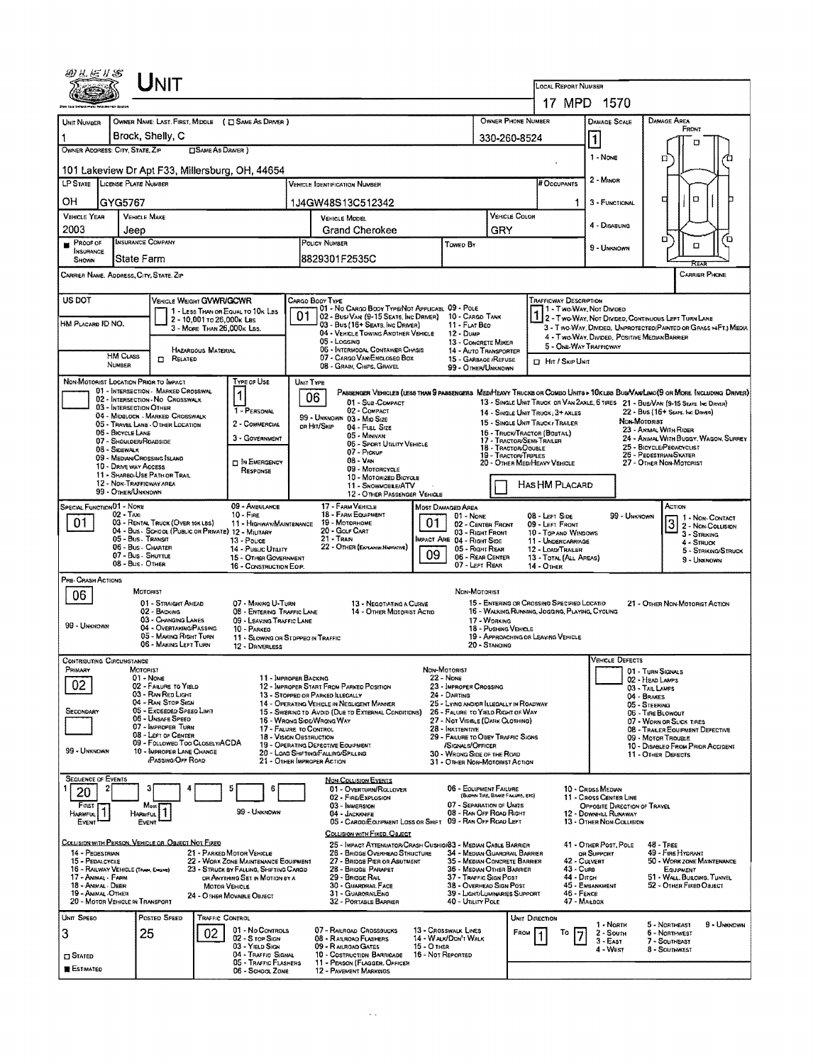|                                                                                                                                                                                     |                                                              | UNIT                                                                         |                            |                                                                                |                                                               |                                                                                                         |             |                                                                                            |                                      |                |                                                                                                                              |                                                                                                                   |                                    |                                                                                                                              |  |
|-------------------------------------------------------------------------------------------------------------------------------------------------------------------------------------|--------------------------------------------------------------|------------------------------------------------------------------------------|----------------------------|--------------------------------------------------------------------------------|---------------------------------------------------------------|---------------------------------------------------------------------------------------------------------|-------------|--------------------------------------------------------------------------------------------|--------------------------------------|----------------|------------------------------------------------------------------------------------------------------------------------------|-------------------------------------------------------------------------------------------------------------------|------------------------------------|------------------------------------------------------------------------------------------------------------------------------|--|
|                                                                                                                                                                                     |                                                              |                                                                              |                            |                                                                                |                                                               |                                                                                                         |             |                                                                                            |                                      |                | LOCAL REPORT NUMBER                                                                                                          |                                                                                                                   |                                    |                                                                                                                              |  |
|                                                                                                                                                                                     |                                                              |                                                                              |                            |                                                                                |                                                               |                                                                                                         |             |                                                                                            |                                      |                | 17 MPD 1570                                                                                                                  |                                                                                                                   |                                    |                                                                                                                              |  |
| UNIT NUMBER<br>1                                                                                                                                                                    |                                                              | Brock, Shelly, C                                                             |                            | OWNER NAME: LAST, FIRST, MIDDLE ( C SAME AS DRIVER )                           |                                                               |                                                                                                         |             |                                                                                            | OWNER PHONE NUMBER                   |                |                                                                                                                              | <b>DAMAGE SCALE</b><br> 1                                                                                         |                                    | <b>DAMAGE AREA</b><br>FRONT                                                                                                  |  |
| OWNER ADDRESS: CITY, STATE, ZIP                                                                                                                                                     |                                                              |                                                                              | <b>SAME AS DRIVER</b> )    |                                                                                |                                                               |                                                                                                         |             |                                                                                            | 330-260-8524                         |                |                                                                                                                              | п                                                                                                                 |                                    |                                                                                                                              |  |
|                                                                                                                                                                                     |                                                              |                                                                              |                            | 101 Lakeview Dr Apt F33, Millersburg, OH, 44654                                |                                                               |                                                                                                         |             |                                                                                            |                                      |                |                                                                                                                              | $1 - None$                                                                                                        |                                    | □                                                                                                                            |  |
| LP STATE LICENSE PLATE NUMBER<br><b>VEHICLE IDENTIFICATION NUMBER</b>                                                                                                               |                                                              |                                                                              |                            |                                                                                |                                                               |                                                                                                         |             |                                                                                            |                                      |                | # Occupants                                                                                                                  | 2 - Minor                                                                                                         |                                    |                                                                                                                              |  |
| он                                                                                                                                                                                  | GYG5767                                                      |                                                                              |                            |                                                                                |                                                               | 1J4GW48S13C512342                                                                                       |             |                                                                                            |                                      |                |                                                                                                                              | 3 - FUNCTIONAL                                                                                                    |                                    | O<br>□                                                                                                                       |  |
| VEHICLE YEAR                                                                                                                                                                        |                                                              | <b>VEHICLE MAKE</b>                                                          |                            |                                                                                |                                                               | <b>VEHICLE MODEL</b>                                                                                    |             |                                                                                            |                                      | VEHICLE COLOR  |                                                                                                                              | 4 - DISABLING                                                                                                     |                                    |                                                                                                                              |  |
| 2003<br><b>PROOF OF</b>                                                                                                                                                             | Jeep                                                         | <b>INSURANCE COMPANY</b>                                                     |                            |                                                                                |                                                               | <b>Grand Cherokee</b><br>POLICY NUMBER                                                                  |             | Towen By                                                                                   | GRY                                  |                |                                                                                                                              |                                                                                                                   |                                    | o<br>o<br>O                                                                                                                  |  |
| <b>INSURANCE</b><br>SHOWN                                                                                                                                                           |                                                              | State Farm                                                                   |                            |                                                                                |                                                               | 8829301F2535C                                                                                           |             |                                                                                            |                                      |                |                                                                                                                              | 9 - UNKNOWN                                                                                                       |                                    |                                                                                                                              |  |
| CARRIER NAME, ADDRESS, CITY, STATE, ZIP                                                                                                                                             |                                                              |                                                                              |                            |                                                                                |                                                               |                                                                                                         |             |                                                                                            |                                      |                |                                                                                                                              |                                                                                                                   |                                    | <b>CARRIER PHONE</b>                                                                                                         |  |
| US DOT                                                                                                                                                                              |                                                              | VEHICLE WEIGHT GVWR/GCWR                                                     |                            |                                                                                |                                                               | CARGO BOOY TYPE                                                                                         |             |                                                                                            |                                      |                | <b>TRAFFICWAY DESCRIPTION</b>                                                                                                |                                                                                                                   |                                    |                                                                                                                              |  |
| HM PLACARD ID NO.                                                                                                                                                                   |                                                              |                                                                              | 2 - 10,001 To 26,000k Las  | 1 - LESS THAN OR EQUAL TO 10K LBS                                              | 01                                                            | 01 - No CARGO BOOY TYPE/NOT APPLICABL 09 - POLE<br>02 - Bus/Van (9-15 Seats, Inc Driver)                |             | 10 - CARGO TANK                                                                            |                                      |                | 1 - Two-Way, Not Divideo                                                                                                     |                                                                                                                   |                                    | 2 - Two-Way, Not Divided, Continuous Left Turn Lane                                                                          |  |
|                                                                                                                                                                                     |                                                              |                                                                              | 3 - MORE THAN 26,000K LBS. |                                                                                |                                                               | 03 - Bus (16+ Seats, Inc Driver)<br>04 - VEHICLE TOWING ANOTHER VEHICLE<br>05 - Logging                 |             | 11 - Fur Beo<br>12 - DUMP<br>13 - CONCRETE MIXER                                           |                                      |                |                                                                                                                              | 3 - T WO-WAY, DIVIDED, UNPROTECTED(PAINTED OR GRASS >4FT.) MEDIA<br>4 - Two-WAY, DIVIDED, POSITIVE MEDIAN BARRIER |                                    |                                                                                                                              |  |
|                                                                                                                                                                                     | <b>HM CLASS</b>                                              | <b>D</b> RELATED                                                             | HAZARDOUS MATERIAL         |                                                                                |                                                               | 06 - INTERMODAL CONTAINER CHASIS<br>07 - CARGO VAN/ENCLOSED BOX                                         |             | 14 - AUTO TRANSPORTER<br>15 - GARBAOE /REFUSE                                              |                                      |                | 5 - ONE-WAY TRAFFICWAY                                                                                                       |                                                                                                                   |                                    |                                                                                                                              |  |
|                                                                                                                                                                                     | NUMBER                                                       |                                                                              |                            |                                                                                |                                                               | 08 - GRAIN, CHIPS, GRAVEL                                                                               |             | 99 - OTHER/UNKNOWN                                                                         |                                      |                | <b>El Hit / Skip Unit</b>                                                                                                    |                                                                                                                   |                                    |                                                                                                                              |  |
|                                                                                                                                                                                     |                                                              | NON-MOTORIST LOCATION PRIOR TO IMPACT<br>01 - INTERSECTION - MARKED CROSSWAL |                            | TYPE OF USE<br>1                                                               | UNIT TYPE                                                     |                                                                                                         |             |                                                                                            |                                      |                |                                                                                                                              |                                                                                                                   |                                    | PASSENGER VEHICLES (LESS THAN 9 PASSENGERS MEDIMEAVY TRUCKS OR COMBO UNITS > 10K LBS BUS/VAWLINO(9 OR MORE INCLUDING DRIVER) |  |
|                                                                                                                                                                                     | 03 - INTERSECTION OTHER                                      | 02 - INTERSECTION - NO CROSSWALK                                             |                            | 1 - PERSONAL                                                                   |                                                               | 06<br>01 - Sua-Compact<br>02 - COMPACT                                                                  |             |                                                                                            |                                      |                | 14 - SINGLE UNIT TRUCK: 3+ AXLES                                                                                             |                                                                                                                   |                                    | 13 - SINGLE UNIT TRUCK OR VAN 2AXLE, 6 TIRES 21 - BUS/VAN (9-15 SEATS, INC DRIVER)<br>22 - Bus (16+ Sears, INC DRIVER)       |  |
|                                                                                                                                                                                     |                                                              | 04 - MIDBLOCK - MARKED CROSSWALK<br>05 - TRAVEL LANE - OTHER LOCATION        |                            | 2 - COMMERCIAL                                                                 |                                                               | 99 - UNKNOWN 03 - MID SIZE<br>or Hit/Skip<br>04 - FULL SIZE                                             |             |                                                                                            |                                      |                | 15 - SINGLE UNIT TRUCK / TRAILER                                                                                             |                                                                                                                   | NON-MOTORIST                       | 23 - ANMAL WITH RIDER                                                                                                        |  |
|                                                                                                                                                                                     | 06 - BICYCLE LANE<br>07 - SHOULDER/ROADSIDE<br>08 - Sidewalk |                                                                              |                            | 3 - GOVERNMENT                                                                 |                                                               | 05 - MINIVAN<br>06 - SPORT UTILITY VEHICLE                                                              |             |                                                                                            | 18 - TRACTOR/DOUBLE                  |                | 16 - TRUCK/TRACTOR (BOSTAL)<br>24 - ANMAL WITH BUGGY, WAGON, SURREY<br>17 - TRACTOR/SEMI-TRAILER<br>25 - BICYCLE/PEDACYCLIST |                                                                                                                   |                                    |                                                                                                                              |  |
|                                                                                                                                                                                     |                                                              | 09 - MEDIAN/CROSSING SLAND                                                   |                            | <b>DIN EMERGENCY</b>                                                           | $07 -$ Pickup<br><b>19 - TRACTOR TRIPLES</b><br>$08 - V_{AN}$ |                                                                                                         |             |                                                                                            |                                      |                | 26 - PEDESTRIAN/SYATER<br>20 - OTHER MEDIHEAVY VEHICLE<br>27 - OTHER NON-MOTORIST                                            |                                                                                                                   |                                    |                                                                                                                              |  |
| 10 - DRIVE WAY ACCESS<br>09 - MOTORCYCLE<br>RESPONSE<br>11 - SHAREO-USE PATH OR TRAIL<br>10 - MOTORIZED BICYCLE<br>12 - NON-TRAFFICWAY AREA<br>HAS HM PLACARD<br>11 - SNOWMOBLE/ATV |                                                              |                                                                              |                            |                                                                                |                                                               |                                                                                                         |             |                                                                                            |                                      |                |                                                                                                                              |                                                                                                                   |                                    |                                                                                                                              |  |
|                                                                                                                                                                                     | 99 - OTHER/UNKNOWN                                           |                                                                              |                            |                                                                                |                                                               | 12 - OTHER PASSENGER VEHICLE                                                                            |             |                                                                                            |                                      |                |                                                                                                                              |                                                                                                                   |                                    |                                                                                                                              |  |
| <b>SPECIAL FUNCTIONO1 - NONE</b><br>01                                                                                                                                              | 02 - Taxi                                                    | 03 - RENTAL TRUCK (OVER 10K LBS)                                             |                            | 09 - AMBULANCE<br>10 - FIRE<br>11 - HIGHWAY/MAINTENANCE                        |                                                               | 17 - FARM VEHICLE<br>18 - FARM EQUIPMENT<br>19 - Мотояноме                                              | 01          | MDST DAMAGED AREA<br>$01 - None$                                                           | 02 - CENTER FRONT                    |                | 08 - LEFT SIDE<br>09 - LEFT FRONT                                                                                            |                                                                                                                   | 99 - UNKNOWN                       | ACTION<br>1 - Non-Contact                                                                                                    |  |
|                                                                                                                                                                                     |                                                              | 04 - Bus - School (Public or Private) 12 - Military<br>05 - Bus - Transit    |                            | 13 - Pouce                                                                     |                                                               | 20 - GOLF CART<br>21 - Train                                                                            |             | 03 - RIGHT FRONT<br>INPACT ARE 04 - RIGHT SIDE                                             |                                      |                | 10 - TOP AND WINDOWS<br>11 - UNDERCARRIAGE                                                                                   |                                                                                                                   |                                    | $\overline{3}$<br>2 - NON-COLLISION<br>3 - STRIKING<br>4 - STRUCK                                                            |  |
|                                                                                                                                                                                     |                                                              | 06 - Bus - Charter<br>07 - Bus - SHUTTLE                                     |                            | 14 - Pusuc Utaury<br>15 - OTHER GOVERNMENT                                     |                                                               | 22 - OTHER (ECOLANIN NARRATIVE)                                                                         | 09          | 05 - Right REAR<br>06 - REAR CENTER                                                        |                                      |                | 12 - LOAD/TRAILER<br>13 - TOTAL (ALL AREAS)                                                                                  |                                                                                                                   |                                    | 5 - STRIKING/STRUCK<br>9 - UNKNOWN                                                                                           |  |
|                                                                                                                                                                                     | 08 - Bus - OTHER                                             |                                                                              |                            | 16 - CONSTRUCTION EOIP.                                                        |                                                               |                                                                                                         |             | 07 - LEFT REAR                                                                             |                                      |                | 14 - Отнев                                                                                                                   |                                                                                                                   |                                    |                                                                                                                              |  |
| PRE- CRASH ACTIONS<br>06                                                                                                                                                            |                                                              | <b>MOTORIST</b>                                                              |                            |                                                                                |                                                               |                                                                                                         |             | NON-MOTORIST                                                                               |                                      |                |                                                                                                                              |                                                                                                                   |                                    |                                                                                                                              |  |
|                                                                                                                                                                                     |                                                              | 01 - STRAIGHT AHEAD<br>02 - BACKING                                          |                            | 07 - MAKING U-TURN<br>08 - ENTERING TRAFFIC LANE                               |                                                               | 13 - NEGOTIATING A CURVE<br>14 - OTHER MOTORIST ACTIO                                                   |             |                                                                                            |                                      |                | 15 - ENTERING OR CROSSING SPECIFIED LOCATID<br>16 - WALKING RUNNING, JOGGING, PLAYING, CYCLING                               |                                                                                                                   |                                    | 21 - OTHER NON-MOTORIST ACTION                                                                                               |  |
| 99 - UNKNOWN                                                                                                                                                                        |                                                              | 03 - CHANGING LANES<br>04 - OVERTAKING/PASSING                               |                            | 09 - LEAVING TRAFFIC LANE<br>10 - PARKEO                                       |                                                               |                                                                                                         |             |                                                                                            | 17 - WORKING<br>18 - PUSHING VEHICLE |                |                                                                                                                              |                                                                                                                   |                                    |                                                                                                                              |  |
|                                                                                                                                                                                     |                                                              | 05 - MAKING RIGHT TURN<br>06 - MAKING LEFT TURN                              |                            | 11 - SLOWING OR STOPPEO IN TRAFFIC<br>12 - DRIVERLESS                          |                                                               |                                                                                                         |             |                                                                                            | 20 - STANDING                        |                | 19 - APPROACHING OR LEAVING VEHICLE                                                                                          |                                                                                                                   |                                    |                                                                                                                              |  |
| <b>CONTRIBUTING CIRCUMSTANCE</b><br>PRIMARY                                                                                                                                         |                                                              | MOTORIST                                                                     |                            |                                                                                |                                                               |                                                                                                         |             | NON-MOTORIST                                                                               |                                      |                |                                                                                                                              | <b>VEHICLE DEFECTS</b>                                                                                            |                                    | 01 - TURN SIGNALS                                                                                                            |  |
| 02                                                                                                                                                                                  |                                                              | $01 - None$<br>02 - FAILURE TO YIELD                                         |                            | 11 - IMPROPER BACKING                                                          |                                                               | 12 - IMPROPER START FROM PARKED POSITION                                                                |             | <b>22 - NONE</b><br>23 - IMPROPER CROSSING                                                 |                                      |                |                                                                                                                              |                                                                                                                   | 02 - HEAD LAMPS<br>03 - TAIL LAMPS |                                                                                                                              |  |
|                                                                                                                                                                                     |                                                              | 03 - RAN RED LIGHT<br>04 - RAN STOP SIGN                                     |                            |                                                                                |                                                               | 13 - STOPPED OR PARKED ILLEGALLY<br>14 - OPERATING VEHICLE IN NEGLIGENT MANNER                          |             | 24 - DARTING<br>25 - LYING ANDIOR ILLEGALLY IN ROADWAY                                     |                                      |                |                                                                                                                              |                                                                                                                   | 04 - BRAKES<br>05 - STEERING       |                                                                                                                              |  |
| SECONDARY                                                                                                                                                                           |                                                              | 05 - Excesped Speso Limit<br>06 - UNSAFE SPEED                               |                            |                                                                                |                                                               | 15 - Swering to Avdid (Due to External Conditions)<br>16 - Wrong Side Wrong Way                         |             | 26 - FALURE TO YIELD RIGHT OF WAY<br>27 - Not Visible (DARK Clothing)                      |                                      |                |                                                                                                                              |                                                                                                                   |                                    | 06 - TIRE BLOWOUT<br>07 - WORN OR SLICK TIRES                                                                                |  |
|                                                                                                                                                                                     |                                                              | 07 - IMPROPER TURN<br>08 - LEFT OF CENTER<br>09 - FOLLOWEO TOO CLOSELY/ACDA  |                            | 17 - FALURE TO CONTROL<br>18 - VISION OBSTRUCTION                              |                                                               |                                                                                                         |             | 28 - INATTENTIVE<br>29 - FAILURE TO OBEY TRAFFIC SIGNS                                     |                                      |                |                                                                                                                              |                                                                                                                   |                                    | 08 - TRALER EQUIPMENT DEFECTIVE<br>09 - Motor Trouble                                                                        |  |
| 99 - UNKNOWN                                                                                                                                                                        |                                                              | 10 - IMPROPER LANE CHANGE<br><b>PASSING/OFF ROAD</b>                         |                            |                                                                                |                                                               | 19 - OPERATING DEFECTIVE EQUIPMENT<br>20 - LOAD SHIFTING/FALLING/SPILLING<br>21 - OTHER IMPROPER ACTION |             | /SIGNALS/OFFICER<br>30 - WRONG SIDE OF THE ROAD<br>31 - OTHER NON-MOTORIST ACTION          |                                      |                |                                                                                                                              |                                                                                                                   |                                    | 10 - Disabled From Prior Accident<br>11 - OTHER DEFECTS                                                                      |  |
| <b>SEQUENCE OF EVENTS</b>                                                                                                                                                           |                                                              |                                                                              |                            |                                                                                |                                                               |                                                                                                         |             |                                                                                            |                                      |                |                                                                                                                              |                                                                                                                   |                                    |                                                                                                                              |  |
| 20                                                                                                                                                                                  | 2                                                            | 3                                                                            |                            | 5<br>6                                                                         |                                                               | NON-COLLISION EVENTS<br>01 - OVERTURN/ROLLOVER<br>02 - FIRE/EXPLOSION                                   |             | 06 - EQUIPMENT FAILURE                                                                     | (BLOWN TIRE, BRAKE FAILURE, ETC)     |                |                                                                                                                              | 10 - Cross Meorn<br>11 - CROSS CENTER LINE                                                                        |                                    |                                                                                                                              |  |
| Frast<br><b>HARMFUL</b>                                                                                                                                                             |                                                              | Most<br><b>HARMFUL</b>                                                       |                            | 99 - UNKNOWN                                                                   |                                                               | 03 - IMMERSION<br>04 - JACKKNIFE                                                                        |             | 07 - SEPARATION OF UNITS<br>08 - RAN OFF ROAD RIGHT                                        |                                      |                |                                                                                                                              | OPPOSITE DIRECTION OF TRAVEL<br>12 - DOWNHILL RUNAWAY                                                             |                                    |                                                                                                                              |  |
| EVENT                                                                                                                                                                               |                                                              | EVENT                                                                        |                            |                                                                                |                                                               | 05 - CARGO/EQUIPMENT LOSS OR SHIFT 09 - RAN OFF ROAD LEFT<br>COLLISION WITH FIXED, OBJECT               |             |                                                                                            |                                      |                |                                                                                                                              | 13 - OTHER NON-COLLISION                                                                                          |                                    |                                                                                                                              |  |
| 14 - PEOESTRIAN                                                                                                                                                                     |                                                              | COLLISION WITH PERSON, VEHICLE OR OBJECT NOT FIXED                           |                            | 21 - PARKED MOTOR VEHICLE                                                      |                                                               | 25 - IMPACT ATTENUATOR/CRASH CUSHIO/83 - MEDIAN CABLE BARRIER<br>26 - BRIDGE OVERHEAD STRUCTURE         |             |                                                                                            |                                      |                |                                                                                                                              | 41 - OTHER POST, POLE                                                                                             |                                    | <b>48 - TREE</b><br>49 - FIRE HYDRANT                                                                                        |  |
| 15 - PEDALCYCLE<br>16 - RAILWAY VEHICLE (TRAIN, ENGINE)                                                                                                                             |                                                              |                                                                              |                            | 22 - WORK ZONE MAINTENANCE EQUIPMENT<br>23 - STRUCK BY FALLING, SHIFTING CARGO |                                                               | 27 - BRIDGE PIER OR ABUTMENT<br>28 - BRIDGE PARAPET                                                     |             | 34 - Median Guardrail Barrier<br>35 - Median Concrete Barrier<br>36 - MEDIAN OTHER BARRIER |                                      |                | 42 - CULVERT<br>43 - Curs                                                                                                    | OR SUPPORT                                                                                                        |                                    | 50 - WORK ZONE MAINTENANCE<br>EQUIPMENT                                                                                      |  |
| 17 - Animal - Farm<br>18 - ANIMAL DEER                                                                                                                                              |                                                              |                                                                              | <b>MOTOR VEHICLE</b>       | OR ANYTHING SET IN MOTION BY A                                                 |                                                               | 29 - Bridge Rail<br>30 - GUARDRAIL FACE                                                                 |             | 37 - Traffic Sign Post<br>38 - Overhead Sign Post                                          |                                      |                | 44 - Опсн                                                                                                                    | 45 - EMBANKMENT                                                                                                   |                                    | 51 - WALL BULOING, TUNNEL<br>52 - OTHER FIXED OBJECT                                                                         |  |
| 19 - ANIMAL-OTHER<br>20 - MOTOR VEHICLE IN TRANSPORT                                                                                                                                |                                                              |                                                                              |                            | 24 - Отнея Моулвце Овлест                                                      |                                                               | 31 - GUARORAILENO<br>32 - PORTABLE BARRIER                                                              |             | 39 - LIGHT/LUMINARIES SUPPORT<br>40 - Utility Pole                                         |                                      |                | 46 - FENCE<br>47 - MAILBOX                                                                                                   |                                                                                                                   |                                    |                                                                                                                              |  |
| UNIT SPEED                                                                                                                                                                          |                                                              | POSTED SPEED                                                                 | TRAFFIC CONTROL            |                                                                                |                                                               |                                                                                                         |             |                                                                                            |                                      | UNIT DIRECTION |                                                                                                                              | 1 - NORTH                                                                                                         |                                    | 5 - Northeast<br>9 - Unknown                                                                                                 |  |
| 3                                                                                                                                                                                   |                                                              | 25                                                                           | 02                         | 01 - No Controls<br>02 - S TOP SIGN                                            |                                                               | 07 - RALROAD CROSSBUCKS<br>08 - RAILROAD FLASHERS                                                       |             | 13 - CROSSWALK LINES<br>14 - WALK/DON'T WALK                                               |                                      | FROM           | Т٥                                                                                                                           | 2 - South<br>$3 - East$                                                                                           |                                    | 6 - NORTHWEST<br>7 - SOUTHEAST                                                                                               |  |
| $\Box$ Stated                                                                                                                                                                       |                                                              |                                                                              |                            | 03 - YIELD SIGN<br>04 - TRAFFIC SIGNAL                                         |                                                               | 09 - RAILROAD GATES<br>10 - COSTRUCTION BARRICADE                                                       | 15 - O THER | 16 - Not Reported                                                                          |                                      |                |                                                                                                                              | 4 - West                                                                                                          |                                    | 8 - Southwest                                                                                                                |  |
| <b>E</b> Estimated                                                                                                                                                                  |                                                              |                                                                              |                            | 05 - TRAFFIC FLASHERS<br>06 - School Zone                                      |                                                               | 11 - PERSON (FLAGGER, OFFICER<br>12 - PAVEMENT MARKINGS                                                 |             |                                                                                            |                                      |                |                                                                                                                              |                                                                                                                   |                                    |                                                                                                                              |  |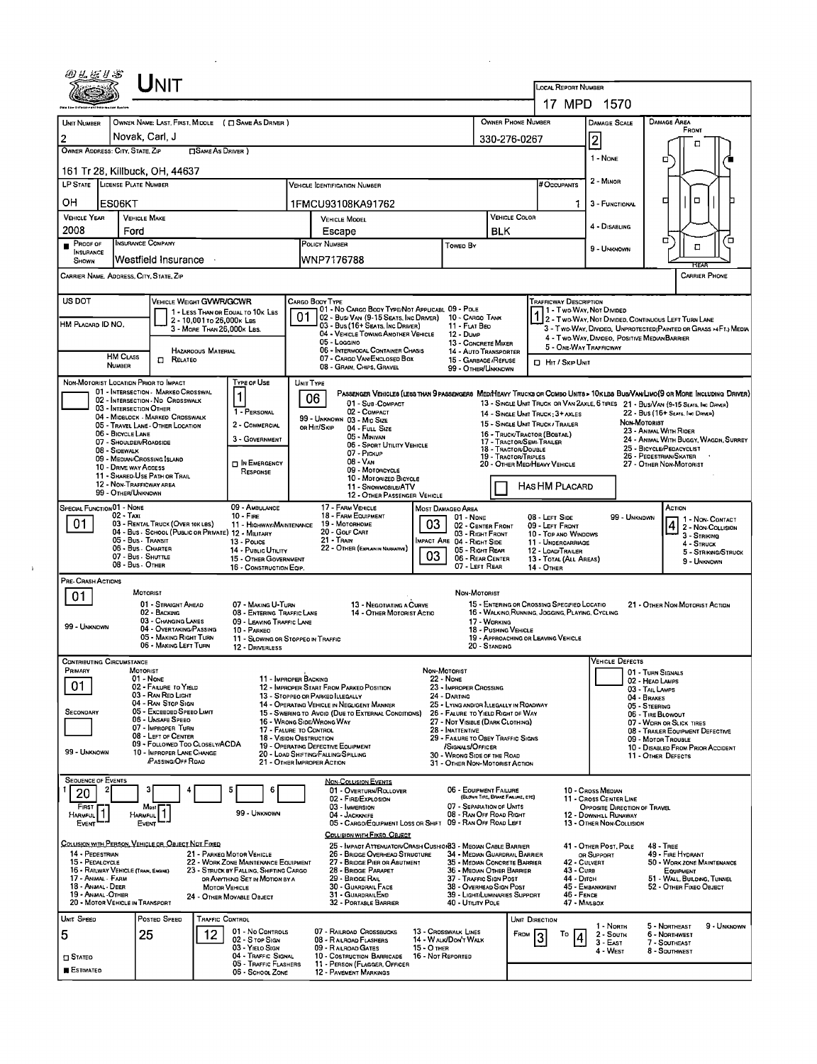|                                                                                                                                                                                                                                       |                                                                                                                                                                                                  | JNIT                                                                                                                                                                                                                                                        |                         |                                                                                                                                                                            |                                                 |                                                                                                                                                                                                                                                                   |                                                                                                                                                                                                                                                                                                                                                                   |                                  |                                                                                                                                                                                                                                                                                                                                      |                                                       |                                                                                                                                                                                                            |                                                                                           |                                                                                                                                  |                                                                                                                                                                                      |                                                                                                                                                                 |  |
|---------------------------------------------------------------------------------------------------------------------------------------------------------------------------------------------------------------------------------------|--------------------------------------------------------------------------------------------------------------------------------------------------------------------------------------------------|-------------------------------------------------------------------------------------------------------------------------------------------------------------------------------------------------------------------------------------------------------------|-------------------------|----------------------------------------------------------------------------------------------------------------------------------------------------------------------------|-------------------------------------------------|-------------------------------------------------------------------------------------------------------------------------------------------------------------------------------------------------------------------------------------------------------------------|-------------------------------------------------------------------------------------------------------------------------------------------------------------------------------------------------------------------------------------------------------------------------------------------------------------------------------------------------------------------|----------------------------------|--------------------------------------------------------------------------------------------------------------------------------------------------------------------------------------------------------------------------------------------------------------------------------------------------------------------------------------|-------------------------------------------------------|------------------------------------------------------------------------------------------------------------------------------------------------------------------------------------------------------------|-------------------------------------------------------------------------------------------|----------------------------------------------------------------------------------------------------------------------------------|--------------------------------------------------------------------------------------------------------------------------------------------------------------------------------------|-----------------------------------------------------------------------------------------------------------------------------------------------------------------|--|
|                                                                                                                                                                                                                                       |                                                                                                                                                                                                  |                                                                                                                                                                                                                                                             |                         |                                                                                                                                                                            |                                                 |                                                                                                                                                                                                                                                                   |                                                                                                                                                                                                                                                                                                                                                                   |                                  |                                                                                                                                                                                                                                                                                                                                      |                                                       |                                                                                                                                                                                                            | <b>LOCAL REPORT NUMBER</b>                                                                | 17 MPD 1570                                                                                                                      |                                                                                                                                                                                      |                                                                                                                                                                 |  |
| <b>UNIT NUMBER</b><br>$\overline{2}$<br>OWNER ADDRESS: CITY, STATE, ZIP                                                                                                                                                               | Novak, Carl, J                                                                                                                                                                                   | OWNER NAME: LAST, FIRST, MIDOLE ( $\Box$ SAME AS DRIVER )                                                                                                                                                                                                   | <b>SAME AS DRIVER</b> ) |                                                                                                                                                                            |                                                 |                                                                                                                                                                                                                                                                   |                                                                                                                                                                                                                                                                                                                                                                   |                                  |                                                                                                                                                                                                                                                                                                                                      | 330-276-0267                                          | <b>OWNER PHONE NUMBER</b>                                                                                                                                                                                  |                                                                                           | DAMAGE SCALE<br>$\vert$ 2 $\vert$<br>1 - NONE                                                                                    | <b>DAMAGE AREA</b><br>□                                                                                                                                                              | FRONT<br>п                                                                                                                                                      |  |
| OH                                                                                                                                                                                                                                    | 161 Tr 28, Killbuck, OH, 44637<br>LP STATE LICENSE PLATE NUMBER<br>ES06KT                                                                                                                        |                                                                                                                                                                                                                                                             |                         |                                                                                                                                                                            |                                                 |                                                                                                                                                                                                                                                                   | <b>VEHICLE IDENTIFICATION NUMBER</b><br>1FMCU93108KA91762                                                                                                                                                                                                                                                                                                         |                                  |                                                                                                                                                                                                                                                                                                                                      |                                                       |                                                                                                                                                                                                            | # Occupants<br>1.                                                                         | 2 - Minor<br>3 - FUNCTIONAL                                                                                                      | ▫                                                                                                                                                                                    | $\Box$                                                                                                                                                          |  |
| <b>VEHICLE YEAR</b><br>2008<br>PROOF OF<br><b>INSURANCE</b>                                                                                                                                                                           | <b>VEHICLE MAKE</b><br>Ford<br><b>INSURANCE COMPANY</b>                                                                                                                                          |                                                                                                                                                                                                                                                             |                         |                                                                                                                                                                            | <b>VEHICLE MODEL</b><br>Escape<br>POLICY NUMBER |                                                                                                                                                                                                                                                                   |                                                                                                                                                                                                                                                                                                                                                                   | Toweo By                         | VEHICLE COLOR<br><b>BLK</b>                                                                                                                                                                                                                                                                                                          |                                                       |                                                                                                                                                                                                            | 4 - Disabling<br>9 - UNKNOWN                                                              | σ                                                                                                                                | α                                                                                                                                                                                    |                                                                                                                                                                 |  |
| <b>SHOWN</b><br>CARRIER NAME, ADDRESS, CITY, STATE, ZIP                                                                                                                                                                               |                                                                                                                                                                                                  | Westfield Insurance                                                                                                                                                                                                                                         |                         |                                                                                                                                                                            |                                                 | WNP7176788                                                                                                                                                                                                                                                        |                                                                                                                                                                                                                                                                                                                                                                   |                                  |                                                                                                                                                                                                                                                                                                                                      |                                                       |                                                                                                                                                                                                            |                                                                                           |                                                                                                                                  |                                                                                                                                                                                      | HFA<br><b>CARRIER PHONE</b>                                                                                                                                     |  |
| US DOT<br>HM PLACARD ID NO.                                                                                                                                                                                                           |                                                                                                                                                                                                  | <b>VEHICLE WEIGHT GVWR/GCWR</b><br>2 - 10,001 to 26,000 k Las<br>3 - MORE THAN 26,000K LBS.<br><b>HAZAROOUS MATERIAL</b>                                                                                                                                    |                         | 1 - LESS THAN OR EQUAL TO 10K LBS                                                                                                                                          | 01                                              | CARGO BOOY TYPE<br>05 - Loggino                                                                                                                                                                                                                                   | 01 - No CARGO BODY TYPE/NOT APPLICABL 09 - POLE<br>02 - Bus/ Van (9-15 Seats, Inc Driver) 10 - Cargo Tank<br>03 - Bus (16+ Seats, Inc Driver)<br>04 - VEHICLE TOWING ANOTHER VEHICLE<br><b>06 - INTERMOOAL CONTAINER CHASIS</b>                                                                                                                                   |                                  | 11 - FLAT BEO<br>12 Dump<br>13 - CONCRETE MIXER<br>14 - Auto Transporter                                                                                                                                                                                                                                                             |                                                       |                                                                                                                                                                                                            | <b>TRAFFICWAY DESCRIPTION</b>                                                             | 4 - Two-Way, Divideo, Positive Median Barrier<br>5 - ONE WAY TRAFFICWAY                                                          |                                                                                                                                                                                      | 1 1 - T WO-WAY, NOT DIVIDED<br>1 2 - T WO-WAY, NOT DIVIDED, CONTINUOUS LEFT TURN LANE<br>3 - Two-Way, Divideo, Unprotected (Painted or Grass >4Ft.) Media       |  |
| NON-MOTORIST LOCATION PRIOR TO IMPACT                                                                                                                                                                                                 | <b>HM CLASS</b><br>NUMBER                                                                                                                                                                        | <b>CI RELATED</b>                                                                                                                                                                                                                                           |                         | TYPE OF USE<br>UNIT TYPE                                                                                                                                                   |                                                 |                                                                                                                                                                                                                                                                   | 07 - CARGO VAN/ENCLOSED BOX<br>08 - GRAIN, CHIPS, GRAVEL                                                                                                                                                                                                                                                                                                          |                                  |                                                                                                                                                                                                                                                                                                                                      | 15 - GARBAGE /REFUSE<br>99 - OTHER/UNKNOWN            |                                                                                                                                                                                                            | <b>D</b> HIT / SKIP UNIT                                                                  |                                                                                                                                  |                                                                                                                                                                                      |                                                                                                                                                                 |  |
|                                                                                                                                                                                                                                       | 03 - INTERSECTION OTHER<br>06 - BICYCLE LANE<br>07 - SHOULDER/ROADSIDE<br>08 - Sidewalk<br>09 - MEDIAN/CROSSING SLAND<br>10 - DRIVE WAY ACCESS<br>12 - Non-Trafficway area<br>99 - OTHER/UNKNOWN | 01 - INTERSECTION - MARKEO CROSSWAL<br>02 - INTERSECTION - NO CROSSWALK<br>04 - MIDBLOCK - MARKEO CROSSWALK<br>05 - Travel LANE - OTHER LOCATION<br>11 - Shareo Use Path or Trail                                                                           |                         | 1<br>1 - PERSONAL<br>2 - COMMERCIAL<br>3 - GOVERNMENT<br><b>D</b> IN EMERGENCY<br>RESPONSE                                                                                 |                                                 | 06<br>99 - UNKNOWN 03 - MID SIZE<br>ов Ніт/Sкір                                                                                                                                                                                                                   | PASSENGER VEHICLES (LESS THAN 9 PASSENGERS MEDIHEAVY TRUCKS OR COMBO UNITS > 10K LBS BUS/VAN/LIMO (9 OR MORE INCLUDING DRIVER)<br>01 - Sub-COMPACT<br>02 - COMPACT<br>04 - Futt Size<br>05 - Minivan<br>06 - SPORT UTILITY VEHICLE<br>07 - PICKUP<br>08 - VAN<br>09 - Motorcycle<br>10 - MOTORIZED BICYCLE<br>11 - SNOWMOSILE/ATV<br>12 - OTHER PASSENGER VEHICLE |                                  |                                                                                                                                                                                                                                                                                                                                      | <b>19 - TRACTOR/TRIPLES</b>                           | 14 - SINGLE UNIT TRUCK; 3+ AXLES<br>15 - SINGLE UNIT TRUCK / TRAILER<br>16 - TRUCK/TRACTOR (BOBTAIL)<br>17 - TRACTOR/SEMI-TRAILER<br>18 - TRACTOR/DOUBLE<br>20 - OTHER MED/HEAVY VEHICLE<br>Has HM Placard |                                                                                           |                                                                                                                                  | NON-MOTORIST<br>23 - ANIMAL WITH RIDER<br>25 - BICYCLE/PEDACYCLIST<br>26 - PEDESTRIAN/SKATER<br>27 - OTHER NON-MOTORIST                                                              | 13 - SINGLE UNIT TRUCK OR VAN 2AXLE, 6 TIRES 21 - BUS/VAN (9-15 SEATS, INC DRIVER)<br>22 - Bus (16+ Seats, Inc Driver)<br>24 - ANIMAL WITH BUGGY, WAGON, SURREY |  |
| SPECIAL FUNCTION 01 - NONE<br>01                                                                                                                                                                                                      | $02 - T_{AXI}$<br>05 - Bus - Transit<br>06 - Bus - Charter<br>07 - Bus - SHUTTLE<br>08 - Bus - Other                                                                                             | 03 - RENTAL TRUCK (OVER 10KLBS)<br>04 - Bus - SCHOOL (PUBLIC OR PRIVATE) 12 - MILITARY                                                                                                                                                                      |                         | 09 - AMBULANCE<br>$10 -$ Fire<br>11 - HIGHWAY/MAINTENANCE<br>13 - Pouce<br>14 - PUBLIC UTILITY<br>15 - OTHER GOVERNMENT<br>16 - CONSTRUCTION EQIP.                         |                                                 | 17 - FARM VEHICLE<br>18 - FARM EQUIPMENT<br>19 - Мотокноме<br>20 - Golf Cart<br>21 - TRAIN                                                                                                                                                                        | 22 - OTHER (EXPLAIN IN NARRATIVE)                                                                                                                                                                                                                                                                                                                                 | 03<br>03                         | <b>MOST DAMAGEO AREA</b><br>01 - NONE<br>02 - CENTER FRONT<br>03 - RIGHT FRONT<br>MPACT ARE 04 - RIGHT SIDE<br>05 - RIGHT REAR<br>06 - REAR CENTER<br>07 - LEFT REAR                                                                                                                                                                 |                                                       | 08 - LEFT SIDE<br>09 - LEFT FRONT<br>14 - OTHER                                                                                                                                                            | 10 - Top and Windows<br>11 - UNDERCARRIAGE<br>12 - LOAD/TRAILER<br>13 - TOTAL (ALL AREAS) |                                                                                                                                  | 99 - UNKNOWN                                                                                                                                                                         | ACTION<br>1 - Non-CONTACT<br>$42 - \frac{1}{2}$ - Non-Coursion<br>3 - STRIKING<br>4 - STRUCK<br>5 - STRIKNG/STRUCK<br>9 - UNKNOWN                               |  |
| PRE- CRASH ACTIONS<br>01<br>99 - UNKNOWN                                                                                                                                                                                              | <b>MOTORIST</b>                                                                                                                                                                                  | 01 - STRAIGHT AHEAD<br>02 - BACKING<br>03 - CHANGING LANES<br>04 - OVERTAKING/PASSING<br>05 - MAKING RIGHT TURN<br>06 - MAKING LEFT TURN                                                                                                                    |                         | 07 - MAKING U-TURN<br>08 - ENTERING TRAFFIC LANE<br>09 - LEAVING TRAFFIC LANE<br>10 - PARKEO<br>11 - Slowing or Stopped in Traffic<br>12 - DRIVERLESS                      |                                                 |                                                                                                                                                                                                                                                                   | 13 - NEGOTIATING A CURVE<br>14 - OTHER MOTORIST ACTIO                                                                                                                                                                                                                                                                                                             |                                  | Non-Motorist                                                                                                                                                                                                                                                                                                                         | 17 - WORKING<br>18 - PUSHING VEHICLE<br>20 - Standing | 15 - ENTERING OR CROSSING SPECIFIED LOCATIO<br>16 - WALKINO, RUNNING, JOGGING, PLAYING, CYCLING<br>19 - APPROACHING OR LEAVING VEHICLE                                                                     |                                                                                           |                                                                                                                                  |                                                                                                                                                                                      | 21 - OTHER NON-MOTORIST ACTION                                                                                                                                  |  |
| <b>CONTRIBUTING CIRCUMSTANCE</b><br>PRIMARY<br>01<br>SECONDARY<br>99 - UNKNOWN                                                                                                                                                        | MOTORIST<br>01 - Nove                                                                                                                                                                            | 02 - FAILURE TO YIELD<br>03 - RAN RED LIGHT<br>04 - RAN STOP SIGN<br>05 - Exceeped Speed Limit<br>06 - UNSAFE SPEEO<br>07 - IMPROPER TURN<br>08 - LEFT OF CENTER<br>09 - FOLLOWED TOO CLOSELY/ACDA<br>10 - IMPROPER LANE CHANGE<br><b>/PASSING/OFF ROAD</b> |                         | 11 - IMPROPER BACKING<br>17 - FALURE TO CONTROL<br>18 - VISION OBSTRUCTION                                                                                                 |                                                 | 12 - IMPROPER START FROM PARKEO POSITION<br>13 - Stopped or PARKED LLEGALLY<br>14 - OPERATING VEHICLE IN NEGLIGENT MANNER<br>16 - WRONG SIDE/WRONG WAY<br>19 - OPERATING DEFECTIVE EQUIPMENT<br>20 - LOAD SHIFTING/FALLING/SPILLING<br>21 - OTHER IMPROPER ACTION | 15 - Swering to Avoid (Due to External Conditions)                                                                                                                                                                                                                                                                                                                |                                  | NON-MOTORIST<br>22 - None<br>23 - IMPROPER CROSSING<br>24 - DARTING<br>25 - LYING AND/OR LLEGALLY IN ROADWAY<br>26 - FALURE TO YIELD RIGHT OF WAY<br>27 - NOT VISIBLE (DARK CLOTHING)<br>28 - INATTENTIVE<br>29 - FAILURE TO OBEY TRAFFIC SIGNS<br>/Signals/Officer<br>30 - WRONG SIDE OF THE ROAD<br>31 - OTHER NON-MOTORIST ACTION |                                                       |                                                                                                                                                                                                            |                                                                                           | <b>VEHICLE DEFECTS</b>                                                                                                           | 01 - TURN SIGNALS<br>02 - HEAD LAMPS<br>03 - TAIL LAMPS<br>04 - BRAKES<br>05 - STEERING<br>06 - TIRE BLOWOUT<br>07 - WORN OR SLICK TIRES<br>09 - MOTOR TROUBLE<br>11 - OTHER DEFECTS | 08 - TRAILER EQUIPMENT DEFECTIVE<br>10 - DISABLED FROM PRIOR ACCIDENT                                                                                           |  |
| <b>SEQUENCE OF EVENTS</b><br>20<br>FIRST<br><b>HARMFUL</b><br>EVENT                                                                                                                                                                   | HARMFUL <sup>1</sup><br>EVENT                                                                                                                                                                    | Most                                                                                                                                                                                                                                                        |                         | 99 - UNKNOWN                                                                                                                                                               |                                                 | 03 - IMMERSION<br>04 - JACKKNIFE                                                                                                                                                                                                                                  | <b>NON-COLLISION EVENTS</b><br>01 - OVERTURN/ROLLOVER<br>02 - FIRE/EXPLOSION<br>05 - CARGO/EQUIPMENT LOSS OR SHIFT<br>COLLISION WITH FIXED, OBJECT                                                                                                                                                                                                                |                                  | 06 - EQUIPMENT FAILURE<br>07 - SEPARATION OF UNITS<br>08 - RAN OFF ROAD RIGHT<br>09 - RAN OFF ROAD LEFT                                                                                                                                                                                                                              | (BLOWN TIRE, BRAKE FAILURE, ETC)                      |                                                                                                                                                                                                            |                                                                                           | 10 - Cross Median<br>11 - CROSS CENTER LINE<br>OPPOSITE DIRECTION OF TRAVEL<br>12 - DOWNHILL RUNAWAY<br>13 - OTHER NON-COLLISION |                                                                                                                                                                                      |                                                                                                                                                                 |  |
| COLLISION WITH PERSON, VEHICLE OR OBJECT NOT FIXED<br>14 - PEDESTRIAN<br>15 - PEDALCYCLE<br>16 - RAILWAY VEHICLE (TRAN, ENGINE)<br>17 - Animal - Farm<br>18 - Animal - Deer<br>19 - Animal - Other<br>20 - MOTOR VEHICLE IN TRANSPORT |                                                                                                                                                                                                  |                                                                                                                                                                                                                                                             | <b>MOTOR VEHICLE</b>    | 21 - PARKEG MOTOR VEHICLE<br>22 - WORK ZONE MAINTENANCE EQUIPMENT<br>23 - STRUCK BY FALLING, SHIFTING CARGO<br>OR ANYTHING SET IN MOTION BY A<br>24 - OTHER MOVABLE OBJECT |                                                 | 29 - BRIOGE RAIL                                                                                                                                                                                                                                                  | 25 - IMPACT ATTENUATOR/CRASH CUSHION33 - MEOIAN CABLE BARRIER<br>26 - BRIDGE OVERHEAD STRUCTURE<br>27 - BRIDGE PIER OR ABUTMENT<br>28 - BRIDGE PARAPET<br>30 - GUARDRAIL FACE<br>31 - GUARDRAILEND<br>32 - PORTABLE BARRIER                                                                                                                                       |                                  | 34 - MEDIAN GUARDRAIL BARRIER<br>35 - MEDIAN CONCRETE BARRIER<br>36 - MEDIAN OTHER BARRIER<br>37 - TRAFFIC SIGN POST<br>38 - OVERHEAD SIGN POST<br>39 - LIGHT/LUMINARIES SUPPORT<br>40 - UTILITY POLE                                                                                                                                |                                                       |                                                                                                                                                                                                            | 42 - CULVERT<br>43 - Cura<br>44 - Ditch<br>46 - FENCE<br>47 - MARBOX                      | 41 - OTHER POST, POLE<br>OR SUPPORT<br>45 - EMBANKMENT                                                                           | $48 - Tree$                                                                                                                                                                          | 49 - FIRE HYDRANT<br>50 - WORK ZONE MAINTENANCE<br>EQUIPMENT<br>51 - WALL, BUILDING, TUNNEL<br>52 - OTHER FIXEO OBJECT                                          |  |
| UNIT SPEED<br>5<br>$\square$ Stated<br><b>ESTIMATED</b>                                                                                                                                                                               | 25                                                                                                                                                                                               | POSTED SPEED                                                                                                                                                                                                                                                | TRAFFIC CONTROL<br>12   | 01 - No CONTROLS<br>02 - S TOP SIGN<br>03 - YIELO SIGN<br>04 - Traffic Signal<br>05 - Traffic Flashers<br>06 - School Zone                                                 |                                                 | 07 - RAILROAD CROSSBUCKS<br>08 - RAILROAD FLASHERS<br>09 - RAILROAD GATES<br>12 - PAVEMENT MARKINGS                                                                                                                                                               | 10 - Costruction Barricade<br>11 - PERSON (FLAGGER, OFFICER                                                                                                                                                                                                                                                                                                       | 15 - O THER<br>16 - Not Reported | 13 - Crosswalk LINES<br>14 - WALK/DON'T WALK                                                                                                                                                                                                                                                                                         |                                                       | UNIT DIRECTION<br>From                                                                                                                                                                                     | То<br>4                                                                                   | 1 - NORTH<br>2 - South<br>$3 - EAST$<br>4 - WEST                                                                                 | 5 - NORTHEAST<br>6 - NORTHWEST<br>7 - SOUTHEAST<br>8 - Southwest                                                                                                                     | 9 - UNKNOWN                                                                                                                                                     |  |